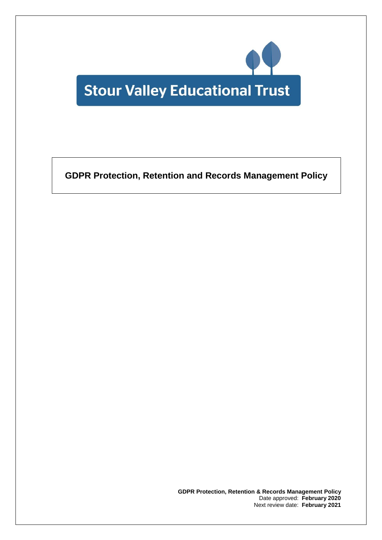

**GDPR Protection, Retention and Records Management Policy**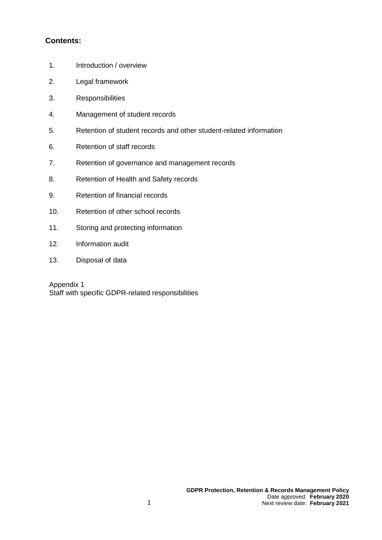# **Contents:**

- 1. Introduction / overview
- 2. Legal framework
- 3. Responsibilities
- 4. Management of student records
- 5. Retention of student records and other student-related information
- 6. Retention of staff records
- 7. Retention of governance and management records
- 8. Retention of Health and Safety records
- 9. Retention of financial records
- 10. Retention of other school records
- 11. Storing and protecting information
- 12. Information audit
- 13. Disposal of data

Appendix 1 Staff with specific GDPR-related responsibilities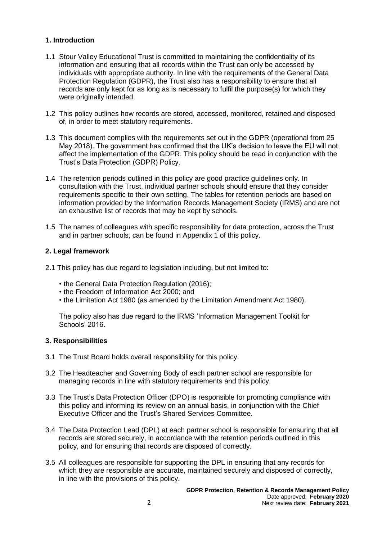### **1. Introduction**

- 1.1 Stour Valley Educational Trust is committed to maintaining the confidentiality of its information and ensuring that all records within the Trust can only be accessed by individuals with appropriate authority. In line with the requirements of the General Data Protection Regulation (GDPR), the Trust also has a responsibility to ensure that all records are only kept for as long as is necessary to fulfil the purpose(s) for which they were originally intended.
- 1.2 This policy outlines how records are stored, accessed, monitored, retained and disposed of, in order to meet statutory requirements.
- 1.3 This document complies with the requirements set out in the GDPR (operational from 25 May 2018). The government has confirmed that the UK's decision to leave the EU will not affect the implementation of the GDPR. This policy should be read in conjunction with the Trust's Data Protection (GDPR) Policy.
- 1.4 The retention periods outlined in this policy are good practice guidelines only. In consultation with the Trust, individual partner schools should ensure that they consider requirements specific to their own setting. The tables for retention periods are based on information provided by the Information Records Management Society (IRMS) and are not an exhaustive list of records that may be kept by schools.
- 1.5 The names of colleagues with specific responsibility for data protection, across the Trust and in partner schools, can be found in Appendix 1 of this policy.

#### **2. Legal framework**

- 2.1 This policy has due regard to legislation including, but not limited to:
	- the General Data Protection Regulation (2016);
	- the Freedom of Information Act 2000; and
	- the Limitation Act 1980 (as amended by the Limitation Amendment Act 1980).

The policy also has due regard to the IRMS 'Information Management Toolkit for Schools' 2016.

#### **3. Responsibilities**

- 3.1 The Trust Board holds overall responsibility for this policy.
- 3.2 The Headteacher and Governing Body of each partner school are responsible for managing records in line with statutory requirements and this policy.
- 3.3 The Trust's Data Protection Officer (DPO) is responsible for promoting compliance with this policy and informing its review on an annual basis, in conjunction with the Chief Executive Officer and the Trust's Shared Services Committee.
- 3.4 The Data Protection Lead (DPL) at each partner school is responsible for ensuring that all records are stored securely, in accordance with the retention periods outlined in this policy, and for ensuring that records are disposed of correctly.
- 3.5 All colleagues are responsible for supporting the DPL in ensuring that any records for which they are responsible are accurate, maintained securely and disposed of correctly, in line with the provisions of this policy.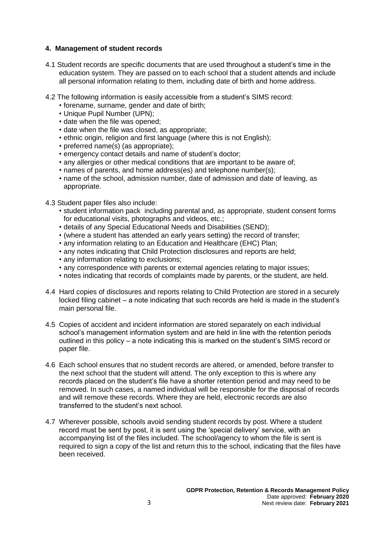#### **4. Management of student records**

- 4.1 Student records are specific documents that are used throughout a student's time in the education system. They are passed on to each school that a student attends and include all personal information relating to them, including date of birth and home address.
- 4.2 The following information is easily accessible from a student's SIMS record:
	- forename, surname, gender and date of birth;
	- Unique Pupil Number (UPN);
	- date when the file was opened;
	- date when the file was closed, as appropriate;
	- ethnic origin, religion and first language (where this is not English);
	- preferred name(s) (as appropriate);
	- emergency contact details and name of student's doctor;
	- any allergies or other medical conditions that are important to be aware of;
	- names of parents, and home address(es) and telephone number(s);
	- name of the school, admission number, date of admission and date of leaving, as appropriate.
- 4.3 Student paper files also include:
	- student information pack including parental and, as appropriate, student consent forms for educational visits, photographs and videos, etc.;
	- details of any Special Educational Needs and Disabilities (SEND);
	- (where a student has attended an early years setting) the record of transfer;
	- any information relating to an Education and Healthcare (EHC) Plan;
	- any notes indicating that Child Protection disclosures and reports are held;
	- any information relating to exclusions;
	- any correspondence with parents or external agencies relating to major issues;
	- notes indicating that records of complaints made by parents, or the student, are held.
- 4.4 Hard copies of disclosures and reports relating to Child Protection are stored in a securely locked filing cabinet – a note indicating that such records are held is made in the student's main personal file.
- 4.5 Copies of accident and incident information are stored separately on each individual school's management information system and are held in line with the retention periods outlined in this policy – a note indicating this is marked on the student's SIMS record or paper file.
- 4.6 Each school ensures that no student records are altered, or amended, before transfer to the next school that the student will attend. The only exception to this is where any records placed on the student's file have a shorter retention period and may need to be removed. In such cases, a named individual will be responsible for the disposal of records and will remove these records. Where they are held, electronic records are also transferred to the student's next school.
- 4.7 Wherever possible, schools avoid sending student records by post. Where a student record must be sent by post, it is sent using the 'special delivery' service, with an accompanying list of the files included. The school/agency to whom the file is sent is required to sign a copy of the list and return this to the school, indicating that the files have been received.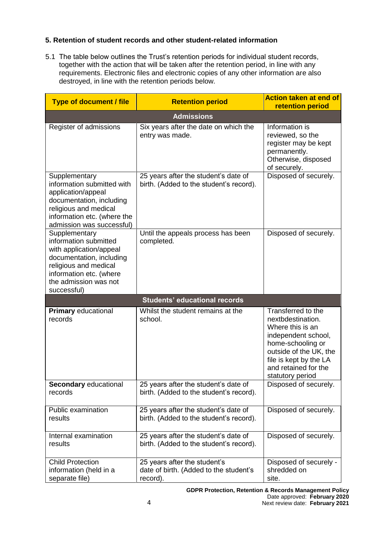## **5. Retention of student records and other student-related information**

5.1 The table below outlines the Trust's retention periods for individual student records, together with the action that will be taken after the retention period, in line with any requirements. Electronic files and electronic copies of any other information are also destroyed, in line with the retention periods below.

| <b>Type of document / file</b>                                                                                                                                                            | <b>Retention period</b>                                                            | <b>Action taken at end of</b><br>retention period                                                                                                                                                       |
|-------------------------------------------------------------------------------------------------------------------------------------------------------------------------------------------|------------------------------------------------------------------------------------|---------------------------------------------------------------------------------------------------------------------------------------------------------------------------------------------------------|
|                                                                                                                                                                                           | <b>Admissions</b>                                                                  |                                                                                                                                                                                                         |
| Register of admissions                                                                                                                                                                    | Six years after the date on which the<br>entry was made.                           | Information is<br>reviewed, so the<br>register may be kept<br>permanently.<br>Otherwise, disposed<br>of securely.                                                                                       |
| Supplementary<br>information submitted with<br>application/appeal<br>documentation, including<br>religious and medical<br>information etc. (where the<br>admission was successful)        | 25 years after the student's date of<br>birth. (Added to the student's record).    | Disposed of securely.                                                                                                                                                                                   |
| Supplementary<br>information submitted<br>with application/appeal<br>documentation, including<br>religious and medical<br>information etc. (where<br>the admission was not<br>successful) | Until the appeals process has been<br>completed.                                   | Disposed of securely.                                                                                                                                                                                   |
|                                                                                                                                                                                           | <b>Students' educational records</b>                                               |                                                                                                                                                                                                         |
| <b>Primary educational</b><br>records                                                                                                                                                     | Whilst the student remains at the<br>school.                                       | Transferred to the<br>nextbdestination.<br>Where this is an<br>independent school,<br>home-schooling or<br>outside of the UK, the<br>file is kept by the LA<br>and retained for the<br>statutory period |
| Secondary educational<br>records                                                                                                                                                          | 25 years after the student's date of<br>birth. (Added to the student's record).    | Disposed of securely.                                                                                                                                                                                   |
| Public examination<br>results                                                                                                                                                             | 25 years after the student's date of<br>birth. (Added to the student's record).    | Disposed of securely.                                                                                                                                                                                   |
| Internal examination<br>results                                                                                                                                                           | 25 years after the student's date of<br>birth. (Added to the student's record).    | Disposed of securely.                                                                                                                                                                                   |
| <b>Child Protection</b><br>information (held in a<br>separate file)                                                                                                                       | 25 years after the student's<br>date of birth. (Added to the student's<br>record). | Disposed of securely -<br>shredded on<br>site.                                                                                                                                                          |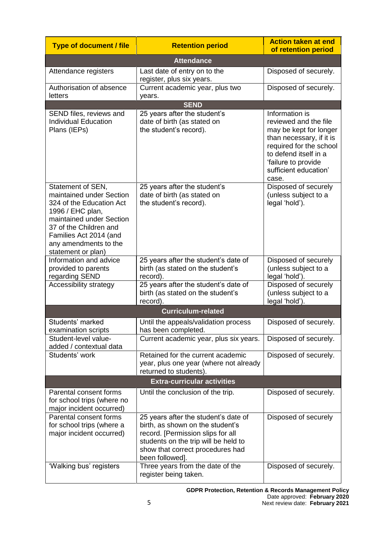| <b>Type of document / file</b>                                                                                                                                                                                               | <b>Retention period</b>                                                                                                                                                                                      | <b>Action taken at end</b><br>of retention period                                                                                                                                                          |  |
|------------------------------------------------------------------------------------------------------------------------------------------------------------------------------------------------------------------------------|--------------------------------------------------------------------------------------------------------------------------------------------------------------------------------------------------------------|------------------------------------------------------------------------------------------------------------------------------------------------------------------------------------------------------------|--|
| <b>Attendance</b>                                                                                                                                                                                                            |                                                                                                                                                                                                              |                                                                                                                                                                                                            |  |
| Attendance registers                                                                                                                                                                                                         | Last date of entry on to the<br>register, plus six years.                                                                                                                                                    | Disposed of securely.                                                                                                                                                                                      |  |
| Authorisation of absence<br>letters                                                                                                                                                                                          | Current academic year, plus two<br>years.                                                                                                                                                                    | Disposed of securely.                                                                                                                                                                                      |  |
|                                                                                                                                                                                                                              | <b>SEND</b>                                                                                                                                                                                                  |                                                                                                                                                                                                            |  |
| SEND files, reviews and<br><b>Individual Education</b><br>Plans (IEPs)                                                                                                                                                       | 25 years after the student's<br>date of birth (as stated on<br>the student's record).                                                                                                                        | Information is<br>reviewed and the file<br>may be kept for longer<br>than necessary, if it is<br>required for the school<br>to defend itself in a<br>'failure to provide<br>sufficient education'<br>case. |  |
| Statement of SEN,<br>maintained under Section<br>324 of the Education Act<br>1996 / EHC plan,<br>maintained under Section<br>37 of the Children and<br>Families Act 2014 (and<br>any amendments to the<br>statement or plan) | 25 years after the student's<br>date of birth (as stated on<br>the student's record).                                                                                                                        | Disposed of securely<br>(unless subject to a<br>legal 'hold').                                                                                                                                             |  |
| Information and advice<br>provided to parents<br>regarding SEND                                                                                                                                                              | 25 years after the student's date of<br>birth (as stated on the student's<br>record).                                                                                                                        | Disposed of securely<br>(unless subject to a<br>legal 'hold').                                                                                                                                             |  |
| Accessibility strategy                                                                                                                                                                                                       | 25 years after the student's date of<br>birth (as stated on the student's<br>record).                                                                                                                        | Disposed of securely<br>(unless subject to a<br>legal 'hold').                                                                                                                                             |  |
|                                                                                                                                                                                                                              | <b>Curriculum-related</b>                                                                                                                                                                                    |                                                                                                                                                                                                            |  |
| Students' marked<br>examination scripts                                                                                                                                                                                      | Until the appeals/validation process<br>has been completed.                                                                                                                                                  | Disposed of securely.                                                                                                                                                                                      |  |
| Student-level value-<br>added / contextual data                                                                                                                                                                              | Current academic year, plus six years.                                                                                                                                                                       | Disposed of securely.                                                                                                                                                                                      |  |
| Students' work                                                                                                                                                                                                               | Retained for the current academic<br>year, plus one year (where not already<br>returned to students).                                                                                                        | Disposed of securely.                                                                                                                                                                                      |  |
| <b>Extra-curricular activities</b>                                                                                                                                                                                           |                                                                                                                                                                                                              |                                                                                                                                                                                                            |  |
| Parental consent forms<br>for school trips (where no<br>major incident occurred)                                                                                                                                             | Until the conclusion of the trip.                                                                                                                                                                            | Disposed of securely.                                                                                                                                                                                      |  |
| Parental consent forms<br>for school trips (where a<br>major incident occurred)                                                                                                                                              | 25 years after the student's date of<br>birth, as shown on the student's<br>record. [Permission slips for all<br>students on the trip will be held to<br>show that correct procedures had<br>been followed]. | Disposed of securely                                                                                                                                                                                       |  |
| 'Walking bus' registers                                                                                                                                                                                                      | Three years from the date of the<br>register being taken.                                                                                                                                                    | Disposed of securely.                                                                                                                                                                                      |  |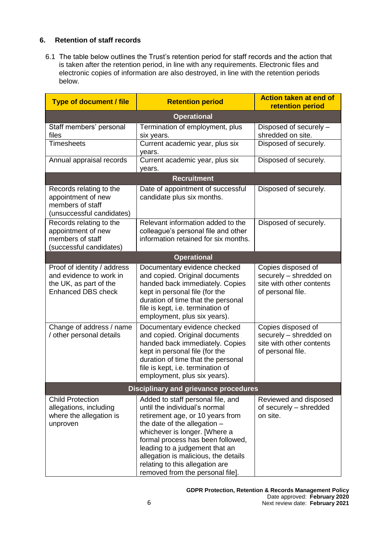## **6. Retention of staff records**

6.1 The table below outlines the Trust's retention period for staff records and the action that is taken after the retention period, in line with any requirements. Electronic files and electronic copies of information are also destroyed, in line with the retention periods below.

| <b>Type of document / file</b>                                                                                | <b>Retention period</b>                                                                                                                                                                                                                                                                                                                                       | <b>Action taken at end of</b><br>retention period                                             |  |
|---------------------------------------------------------------------------------------------------------------|---------------------------------------------------------------------------------------------------------------------------------------------------------------------------------------------------------------------------------------------------------------------------------------------------------------------------------------------------------------|-----------------------------------------------------------------------------------------------|--|
| <b>Operational</b>                                                                                            |                                                                                                                                                                                                                                                                                                                                                               |                                                                                               |  |
| Staff members' personal<br>files<br><b>Timesheets</b>                                                         | Termination of employment, plus<br>six years.<br>Current academic year, plus six                                                                                                                                                                                                                                                                              | Disposed of securely -<br>shredded on site.<br>Disposed of securely.                          |  |
| Annual appraisal records                                                                                      | years.<br>Current academic year, plus six                                                                                                                                                                                                                                                                                                                     | Disposed of securely.                                                                         |  |
|                                                                                                               | years.                                                                                                                                                                                                                                                                                                                                                        |                                                                                               |  |
|                                                                                                               | <b>Recruitment</b>                                                                                                                                                                                                                                                                                                                                            |                                                                                               |  |
| Records relating to the<br>appointment of new<br>members of staff<br>(unsuccessful candidates)                | Date of appointment of successful<br>candidate plus six months.                                                                                                                                                                                                                                                                                               | Disposed of securely.                                                                         |  |
| Records relating to the<br>appointment of new<br>members of staff<br>(successful candidates)                  | Relevant information added to the<br>colleague's personal file and other<br>information retained for six months.                                                                                                                                                                                                                                              | Disposed of securely.                                                                         |  |
|                                                                                                               | <b>Operational</b>                                                                                                                                                                                                                                                                                                                                            |                                                                                               |  |
| Proof of identity / address<br>and evidence to work in<br>the UK, as part of the<br><b>Enhanced DBS check</b> | Documentary evidence checked<br>and copied. Original documents<br>handed back immediately. Copies<br>kept in personal file (for the<br>duration of time that the personal<br>file is kept, i.e. termination of<br>employment, plus six years).                                                                                                                | Copies disposed of<br>securely - shredded on<br>site with other contents<br>of personal file. |  |
| Change of address / name<br>/ other personal details                                                          | Documentary evidence checked<br>and copied. Original documents<br>handed back immediately. Copies<br>kept in personal file (for the<br>duration of time that the personal<br>file is kept, i.e. termination of<br>employment, plus six years).                                                                                                                | Copies disposed of<br>securely - shredded on<br>site with other contents<br>of personal file. |  |
| <b>Disciplinary and grievance procedures</b>                                                                  |                                                                                                                                                                                                                                                                                                                                                               |                                                                                               |  |
| <b>Child Protection</b><br>allegations, including<br>where the allegation is<br>unproven                      | Added to staff personal file, and<br>until the individual's normal<br>retirement age, or 10 years from<br>the date of the allegation -<br>whichever is longer. [Where a<br>formal process has been followed,<br>leading to a judgement that an<br>allegation is malicious, the details<br>relating to this allegation are<br>removed from the personal file]. | Reviewed and disposed<br>of securely - shredded<br>on site.                                   |  |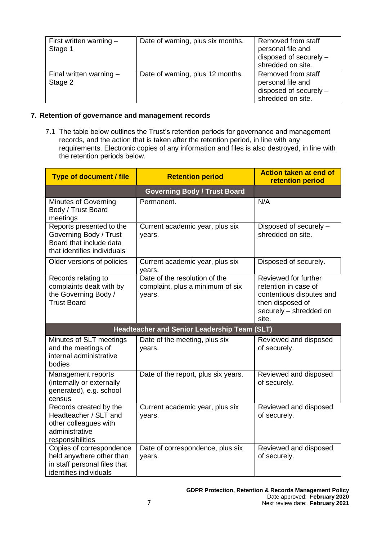| First written warning $-$<br>Stage 1 | Date of warning, plus six months. | Removed from staff<br>personal file and<br>disposed of securely -<br>shredded on site. |
|--------------------------------------|-----------------------------------|----------------------------------------------------------------------------------------|
| Final written warning $-$<br>Stage 2 | Date of warning, plus 12 months.  | Removed from staff<br>personal file and<br>disposed of securely -<br>shredded on site. |

### **7. Retention of governance and management records**

7.1 The table below outlines the Trust's retention periods for governance and management records, and the action that is taken after the retention period, in line with any requirements. Electronic copies of any information and files is also destroyed, in line with the retention periods below.

| <b>Type of document / file</b>                                                                                 | <b>Retention period</b>                                                     | <b>Action taken at end of</b><br>retention period                                                                               |
|----------------------------------------------------------------------------------------------------------------|-----------------------------------------------------------------------------|---------------------------------------------------------------------------------------------------------------------------------|
|                                                                                                                | <b>Governing Body / Trust Board</b>                                         |                                                                                                                                 |
| <b>Minutes of Governing</b><br>Body / Trust Board<br>meetings                                                  | Permanent.                                                                  | N/A                                                                                                                             |
| Reports presented to the<br>Governing Body / Trust<br>Board that include data<br>that identifies individuals   | Current academic year, plus six<br>years.                                   | Disposed of securely -<br>shredded on site.                                                                                     |
| Older versions of policies                                                                                     | Current academic year, plus six<br>vears.                                   | Disposed of securely.                                                                                                           |
| Records relating to<br>complaints dealt with by<br>the Governing Body /<br><b>Trust Board</b>                  | Date of the resolution of the<br>complaint, plus a minimum of six<br>years. | Reviewed for further<br>retention in case of<br>contentious disputes and<br>then disposed of<br>securely - shredded on<br>site. |
|                                                                                                                | <b>Headteacher and Senior Leadership Team (SLT)</b>                         |                                                                                                                                 |
| Minutes of SLT meetings<br>and the meetings of<br>internal administrative<br>bodies                            | Date of the meeting, plus six<br>years.                                     | Reviewed and disposed<br>of securely.                                                                                           |
| Management reports<br>(internally or externally<br>generated), e.g. school<br>census                           | Date of the report, plus six years.                                         | Reviewed and disposed<br>of securely.                                                                                           |
| Records created by the<br>Headteacher / SLT and<br>other colleagues with<br>administrative<br>responsibilities | Current academic year, plus six<br>years.                                   | Reviewed and disposed<br>of securely.                                                                                           |
| Copies of correspondence<br>held anywhere other than<br>in staff personal files that<br>identifies individuals | Date of correspondence, plus six<br>years.                                  | Reviewed and disposed<br>of securely.                                                                                           |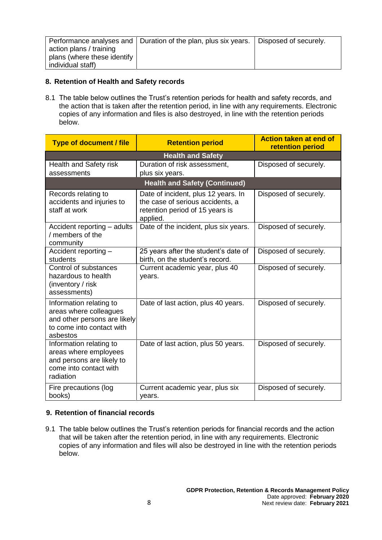|                             | Performance analyses and   Duration of the plan, plus six years.   Disposed of securely. |  |
|-----------------------------|------------------------------------------------------------------------------------------|--|
| action plans / training     |                                                                                          |  |
| plans (where these identify |                                                                                          |  |
| individual staff)           |                                                                                          |  |

### **8. Retention of Health and Safety records**

8.1 The table below outlines the Trust's retention periods for health and safety records, and the action that is taken after the retention period, in line with any requirements. Electronic copies of any information and files is also destroyed, in line with the retention periods below.

| <b>Type of document / file</b>                                                                                             | <b>Retention period</b>                                                                                                | <b>Action taken at end of</b><br>retention period |  |
|----------------------------------------------------------------------------------------------------------------------------|------------------------------------------------------------------------------------------------------------------------|---------------------------------------------------|--|
| <b>Health and Safety</b>                                                                                                   |                                                                                                                        |                                                   |  |
| Health and Safety risk                                                                                                     | Duration of risk assessment,                                                                                           | Disposed of securely.                             |  |
| assessments                                                                                                                | plus six years.                                                                                                        |                                                   |  |
|                                                                                                                            | <b>Health and Safety (Continued)</b>                                                                                   |                                                   |  |
| Records relating to<br>accidents and injuries to<br>staff at work                                                          | Date of incident, plus 12 years. In<br>the case of serious accidents, a<br>retention period of 15 years is<br>applied. | Disposed of securely.                             |  |
| Accident reporting - adults<br>/ members of the<br>community                                                               | Date of the incident, plus six years.                                                                                  | Disposed of securely.                             |  |
| Accident reporting -<br>students                                                                                           | 25 years after the student's date of<br>birth, on the student's record.                                                | Disposed of securely.                             |  |
| Control of substances<br>hazardous to health<br>(inventory / risk<br>assessments)                                          | Current academic year, plus 40<br>years.                                                                               | Disposed of securely.                             |  |
| Information relating to<br>areas where colleagues<br>and other persons are likely<br>to come into contact with<br>asbestos | Date of last action, plus 40 years.                                                                                    | Disposed of securely.                             |  |
| Information relating to<br>areas where employees<br>and persons are likely to<br>come into contact with<br>radiation       | Date of last action, plus 50 years.                                                                                    | Disposed of securely.                             |  |
| Fire precautions (log<br>books)                                                                                            | Current academic year, plus six<br>years.                                                                              | Disposed of securely.                             |  |

#### **9. Retention of financial records**

9.1 The table below outlines the Trust's retention periods for financial records and the action that will be taken after the retention period, in line with any requirements. Electronic copies of any information and files will also be destroyed in line with the retention periods below.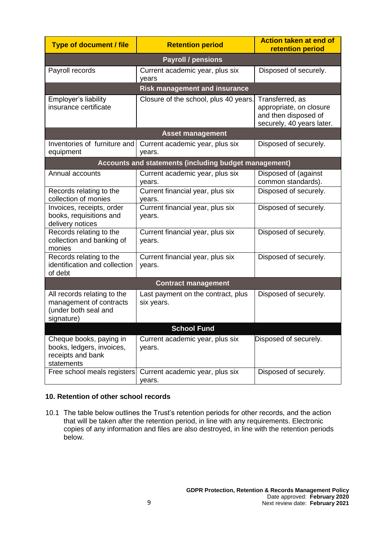| <b>Type of document / file</b>                                                               | <b>Retention period</b>                               | <b>Action taken at end of</b><br>retention period                                               |  |
|----------------------------------------------------------------------------------------------|-------------------------------------------------------|-------------------------------------------------------------------------------------------------|--|
| <b>Payroll / pensions</b>                                                                    |                                                       |                                                                                                 |  |
| Payroll records                                                                              | Current academic year, plus six<br>years              | Disposed of securely.                                                                           |  |
|                                                                                              | <b>Risk management and insurance</b>                  |                                                                                                 |  |
| Employer's liability<br>insurance certificate                                                | Closure of the school, plus 40 years.                 | Transferred, as<br>appropriate, on closure<br>and then disposed of<br>securely, 40 years later. |  |
|                                                                                              | <b>Asset management</b>                               |                                                                                                 |  |
| Inventories of furniture and<br>equipment                                                    | Current academic year, plus six<br>years.             | Disposed of securely.                                                                           |  |
|                                                                                              | Accounts and statements (including budget management) |                                                                                                 |  |
| Annual accounts                                                                              | Current academic year, plus six<br>years.             | Disposed of (against<br>common standards).                                                      |  |
| Records relating to the<br>collection of monies                                              | Current financial year, plus six<br>years.            | Disposed of securely.                                                                           |  |
| Invoices, receipts, order<br>books, requisitions and<br>delivery notices                     | Current financial year, plus six<br>years.            | Disposed of securely.                                                                           |  |
| Records relating to the<br>collection and banking of<br>monies                               | Current financial year, plus six<br>years.            | Disposed of securely.                                                                           |  |
| Records relating to the<br>identification and collection<br>of debt                          | Current financial year, plus six<br>years.            | Disposed of securely.                                                                           |  |
| <b>Contract management</b>                                                                   |                                                       |                                                                                                 |  |
| All records relating to the<br>management of contracts<br>(under both seal and<br>signature) | Last payment on the contract, plus<br>six years.      | Disposed of securely.                                                                           |  |
| <b>School Fund</b>                                                                           |                                                       |                                                                                                 |  |
| Cheque books, paying in<br>books, ledgers, invoices,<br>receipts and bank<br>statements      | Current academic year, plus six<br>years.             | Disposed of securely.                                                                           |  |
| Free school meals registers                                                                  | Current academic year, plus six<br>years.             | Disposed of securely.                                                                           |  |

## **10. Retention of other school records**

10.1 The table below outlines the Trust's retention periods for other records, and the action that will be taken after the retention period, in line with any requirements. Electronic copies of any information and files are also destroyed, in line with the retention periods below.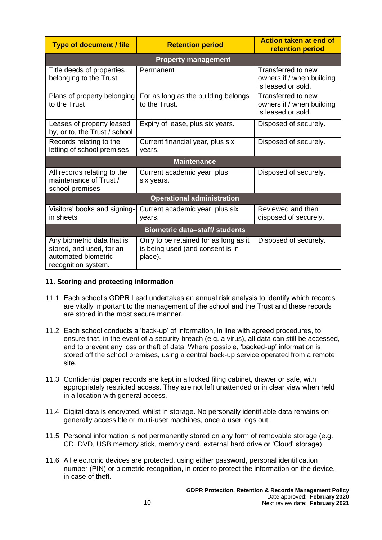| <b>Type of document / file</b>                                                                       | <b>Retention period</b>                                                              | <b>Action taken at end of</b><br>retention period                     |
|------------------------------------------------------------------------------------------------------|--------------------------------------------------------------------------------------|-----------------------------------------------------------------------|
|                                                                                                      | <b>Property management</b>                                                           |                                                                       |
| Title deeds of properties<br>belonging to the Trust                                                  | Permanent                                                                            | Transferred to new<br>owners if / when building<br>is leased or sold. |
| Plans of property belonging<br>to the Trust                                                          | For as long as the building belongs<br>to the Trust.                                 | Transferred to new<br>owners if / when building<br>is leased or sold. |
| Leases of property leased<br>by, or to, the Trust / school                                           | Expiry of lease, plus six years.                                                     | Disposed of securely.                                                 |
| Records relating to the<br>letting of school premises                                                | Current financial year, plus six<br>vears.                                           | Disposed of securely.                                                 |
|                                                                                                      | <b>Maintenance</b>                                                                   |                                                                       |
| All records relating to the<br>maintenance of Trust /<br>school premises                             | Current academic year, plus<br>six years.                                            | Disposed of securely.                                                 |
| <b>Operational administration</b>                                                                    |                                                                                      |                                                                       |
| Visitors' books and signing-<br>in sheets                                                            | Current academic year, plus six<br>years.                                            | Reviewed and then<br>disposed of securely.                            |
| <b>Biometric data-staff/ students</b>                                                                |                                                                                      |                                                                       |
| Any biometric data that is<br>stored, and used, for an<br>automated biometric<br>recognition system. | Only to be retained for as long as it<br>is being used (and consent is in<br>place). | Disposed of securely.                                                 |

#### **11. Storing and protecting information**

- 11.1 Each school's GDPR Lead undertakes an annual risk analysis to identify which records are vitally important to the management of the school and the Trust and these records are stored in the most secure manner.
- 11.2 Each school conducts a 'back-up' of information, in line with agreed procedures, to ensure that, in the event of a security breach (e.g. a virus), all data can still be accessed, and to prevent any loss or theft of data. Where possible, 'backed-up' information is stored off the school premises, using a central back-up service operated from a remote site.
- 11.3 Confidential paper records are kept in a locked filing cabinet, drawer or safe, with appropriately restricted access. They are not left unattended or in clear view when held in a location with general access.
- 11.4 Digital data is encrypted, whilst in storage. No personally identifiable data remains on generally accessible or multi-user machines, once a user logs out.
- 11.5 Personal information is not permanently stored on any form of removable storage (e.g. CD, DVD, USB memory stick, memory card, external hard drive or 'Cloud' storage).
- 11.6 All electronic devices are protected, using either password, personal identification number (PIN) or biometric recognition, in order to protect the information on the device, in case of theft.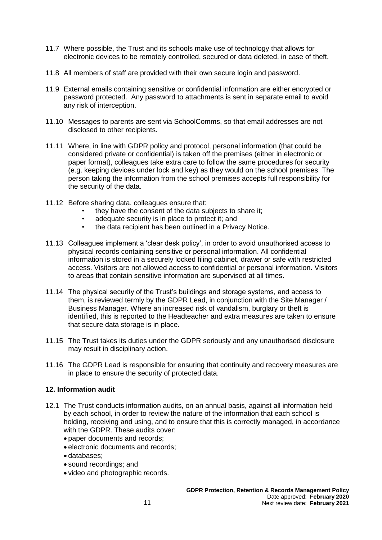- 11.7 Where possible, the Trust and its schools make use of technology that allows for electronic devices to be remotely controlled, secured or data deleted, in case of theft.
- 11.8 All members of staff are provided with their own secure login and password.
- 11.9 External emails containing sensitive or confidential information are either encrypted or password protected. Any password to attachments is sent in separate email to avoid any risk of interception.
- 11.10 Messages to parents are sent via SchoolComms, so that email addresses are not disclosed to other recipients.
- 11.11 Where, in line with GDPR policy and protocol, personal information (that could be considered private or confidential) is taken off the premises (either in electronic or paper format), colleagues take extra care to follow the same procedures for security (e.g. keeping devices under lock and key) as they would on the school premises. The person taking the information from the school premises accepts full responsibility for the security of the data.
- 11.12 Before sharing data, colleagues ensure that:
	- they have the consent of the data subjects to share it;
	- adequate security is in place to protect it; and
	- the data recipient has been outlined in a Privacy Notice.
- 11.13 Colleagues implement a 'clear desk policy', in order to avoid unauthorised access to physical records containing sensitive or personal information. All confidential information is stored in a securely locked filing cabinet, drawer or safe with restricted access. Visitors are not allowed access to confidential or personal information. Visitors to areas that contain sensitive information are supervised at all times.
- 11.14 The physical security of the Trust's buildings and storage systems, and access to them, is reviewed termly by the GDPR Lead, in conjunction with the Site Manager / Business Manager. Where an increased risk of vandalism, burglary or theft is identified, this is reported to the Headteacher and extra measures are taken to ensure that secure data storage is in place.
- 11.15 The Trust takes its duties under the GDPR seriously and any unauthorised disclosure may result in disciplinary action.
- 11.16 The GDPR Lead is responsible for ensuring that continuity and recovery measures are in place to ensure the security of protected data.

#### **12. Information audit**

- 12.1 The Trust conducts information audits, on an annual basis, against all information held by each school, in order to review the nature of the information that each school is holding, receiving and using, and to ensure that this is correctly managed, in accordance with the GDPR. These audits cover:
	- paper documents and records;
	- electronic documents and records;
	- databases;
	- sound recordings; and
	- video and photographic records.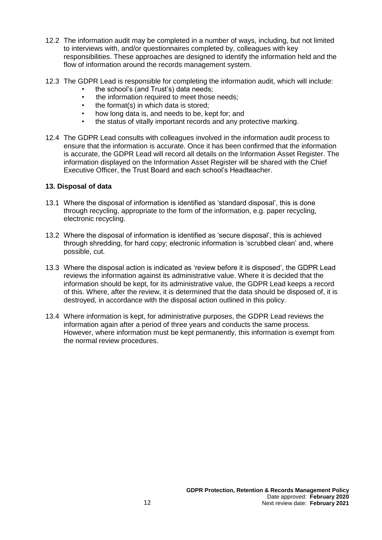- 12.2 The information audit may be completed in a number of ways, including, but not limited to interviews with, and/or questionnaires completed by, colleagues with key responsibilities. These approaches are designed to identify the information held and the flow of information around the records management system.
- 12.3 The GDPR Lead is responsible for completing the information audit, which will include:
	- the school's (and Trust's) data needs;
	- the information required to meet those needs:
	- the format(s) in which data is stored;
	- how long data is, and needs to be, kept for; and
	- the status of vitally important records and any protective marking.
- 12.4 The GDPR Lead consults with colleagues involved in the information audit process to ensure that the information is accurate. Once it has been confirmed that the information is accurate, the GDPR Lead will record all details on the Information Asset Register. The information displayed on the Information Asset Register will be shared with the Chief Executive Officer, the Trust Board and each school's Headteacher.

### **13. Disposal of data**

- 13.1 Where the disposal of information is identified as 'standard disposal', this is done through recycling, appropriate to the form of the information, e.g. paper recycling, electronic recycling.
- 13.2 Where the disposal of information is identified as 'secure disposal', this is achieved through shredding, for hard copy; electronic information is 'scrubbed clean' and, where possible, cut.
- 13.3 Where the disposal action is indicated as 'review before it is disposed', the GDPR Lead reviews the information against its administrative value. Where it is decided that the information should be kept, for its administrative value, the GDPR Lead keeps a record of this. Where, after the review, it is determined that the data should be disposed of, it is destroyed, in accordance with the disposal action outlined in this policy.
- 13.4 Where information is kept, for administrative purposes, the GDPR Lead reviews the information again after a period of three years and conducts the same process. However, where information must be kept permanently, this information is exempt from the normal review procedures.